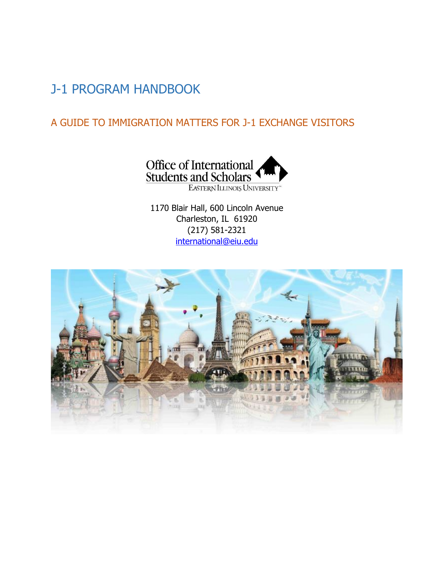# J-1 PROGRAM HANDBOOK

# A GUIDE TO IMMIGRATION MATTERS FOR J-1 EXCHANGE VISITORS



1170 Blair Hall, 600 Lincoln Avenue Charleston, IL 61920 (217) 581-2321 [international@eiu.edu](mailto:international@eiu.edu)

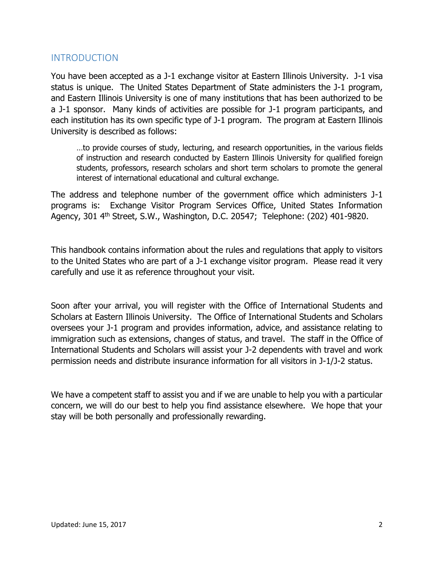### INTRODUCTION

You have been accepted as a J-1 exchange visitor at Eastern Illinois University. J-1 visa status is unique. The United States Department of State administers the J-1 program, and Eastern Illinois University is one of many institutions that has been authorized to be a J-1 sponsor. Many kinds of activities are possible for J-1 program participants, and each institution has its own specific type of J-1 program. The program at Eastern Illinois University is described as follows:

…to provide courses of study, lecturing, and research opportunities, in the various fields of instruction and research conducted by Eastern Illinois University for qualified foreign students, professors, research scholars and short term scholars to promote the general interest of international educational and cultural exchange.

The address and telephone number of the government office which administers J-1 programs is: Exchange Visitor Program Services Office, United States Information Agency, 301 4th Street, S.W., Washington, D.C. 20547; Telephone: (202) 401-9820.

This handbook contains information about the rules and regulations that apply to visitors to the United States who are part of a J-1 exchange visitor program. Please read it very carefully and use it as reference throughout your visit.

Soon after your arrival, you will register with the Office of International Students and Scholars at Eastern Illinois University. The Office of International Students and Scholars oversees your J-1 program and provides information, advice, and assistance relating to immigration such as extensions, changes of status, and travel. The staff in the Office of International Students and Scholars will assist your J-2 dependents with travel and work permission needs and distribute insurance information for all visitors in J-1/J-2 status.

We have a competent staff to assist you and if we are unable to help you with a particular concern, we will do our best to help you find assistance elsewhere. We hope that your stay will be both personally and professionally rewarding.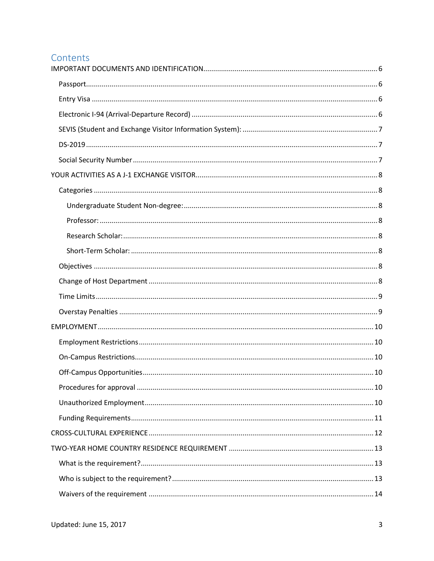# Contents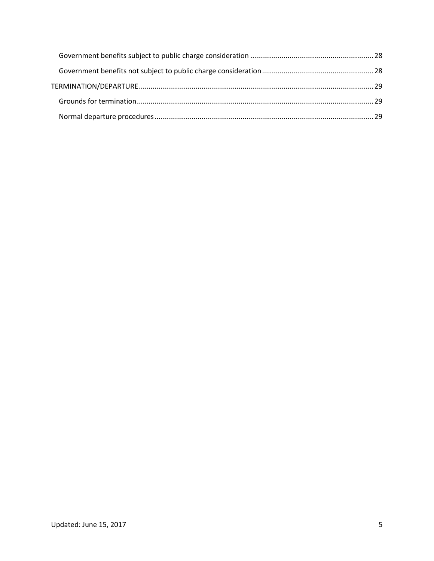<span id="page-4-0"></span>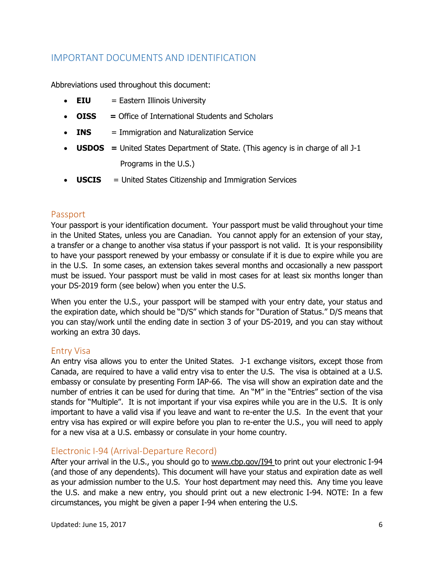# IMPORTANT DOCUMENTS AND IDENTIFICATION

Abbreviations used throughout this document:

- **EIU** = Eastern Illinois University
- **OISS =** Office of International Students and Scholars
- **INS** = Immigration and Naturalization Service
- **USDOS =** United States Department of State. (This agency is in charge of all J-1 Programs in the U.S.)
- **USCIS** = United States Citizenship and Immigration Services

#### <span id="page-5-0"></span>Passport

Your passport is your identification document. Your passport must be valid throughout your time in the United States, unless you are Canadian. You cannot apply for an extension of your stay, a transfer or a change to another visa status if your passport is not valid. It is your responsibility to have your passport renewed by your embassy or consulate if it is due to expire while you are in the U.S. In some cases, an extension takes several months and occasionally a new passport must be issued. Your passport must be valid in most cases for at least six months longer than your DS-2019 form (see below) when you enter the U.S.

When you enter the U.S., your passport will be stamped with your entry date, your status and the expiration date, which should be "D/S" which stands for "Duration of Status." D/S means that you can stay/work until the ending date in section 3 of your DS-2019, and you can stay without working an extra 30 days.

### <span id="page-5-1"></span>Entry Visa

An entry visa allows you to enter the United States. J-1 exchange visitors, except those from Canada, are required to have a valid entry visa to enter the U.S. The visa is obtained at a U.S. embassy or consulate by presenting Form IAP-66. The visa will show an expiration date and the number of entries it can be used for during that time. An "M" in the "Entries" section of the visa stands for "Multiple". It is not important if your visa expires while you are in the U.S. It is only important to have a valid visa if you leave and want to re-enter the U.S. In the event that your entry visa has expired or will expire before you plan to re-enter the U.S., you will need to apply for a new visa at a U.S. embassy or consulate in your home country.

### <span id="page-5-2"></span>Electronic I-94 (Arrival-Departure Record)

After your arrival in the U.S., you should go to www.cbp.gov/I94 to print out your electronic I-94 (and those of any dependents). This document will have your status and expiration date as well as your admission number to the U.S. Your host department may need this. Any time you leave the U.S. and make a new entry, you should print out a new electronic I-94. NOTE: In a few circumstances, you might be given a paper I-94 when entering the U.S.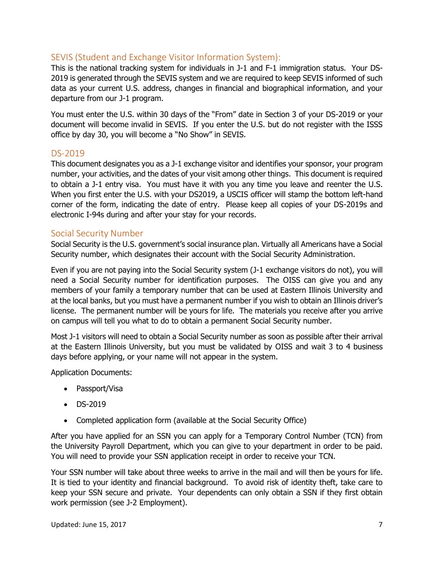### <span id="page-6-0"></span>SEVIS (Student and Exchange Visitor Information System):

This is the national tracking system for individuals in J-1 and F-1 immigration status. Your DS-2019 is generated through the SEVIS system and we are required to keep SEVIS informed of such data as your current U.S. address, changes in financial and biographical information, and your departure from our J-1 program.

You must enter the U.S. within 30 days of the "From" date in Section 3 of your DS-2019 or your document will become invalid in SEVIS. If you enter the U.S. but do not register with the ISSS office by day 30, you will become a "No Show" in SEVIS.

### <span id="page-6-1"></span>DS-2019

This document designates you as a J-1 exchange visitor and identifies your sponsor, your program number, your activities, and the dates of your visit among other things. This document is required to obtain a J-1 entry visa. You must have it with you any time you leave and reenter the U.S. When you first enter the U.S. with your DS2019, a USCIS officer will stamp the bottom left-hand corner of the form, indicating the date of entry. Please keep all copies of your DS-2019s and electronic I-94s during and after your stay for your records.

### <span id="page-6-2"></span>Social Security Number

Social Security is the U.S. government's social insurance plan. Virtually all Americans have a Social Security number, which designates their account with the Social Security Administration.

Even if you are not paying into the Social Security system (J-1 exchange visitors do not), you will need a Social Security number for identification purposes. The OISS can give you and any members of your family a temporary number that can be used at Eastern Illinois University and at the local banks, but you must have a permanent number if you wish to obtain an Illinois driver's license. The permanent number will be yours for life. The materials you receive after you arrive on campus will tell you what to do to obtain a permanent Social Security number.

Most J-1 visitors will need to obtain a Social Security number as soon as possible after their arrival at the Eastern Illinois University, but you must be validated by OISS and wait 3 to 4 business days before applying, or your name will not appear in the system.

Application Documents:

- Passport/Visa
- $\bullet$  DS-2019
- Completed application form (available at the Social Security Office)

After you have applied for an SSN you can apply for a Temporary Control Number (TCN) from the University Payroll Department, which you can give to your department in order to be paid. You will need to provide your SSN application receipt in order to receive your TCN.

Your SSN number will take about three weeks to arrive in the mail and will then be yours for life. It is tied to your identity and financial background. To avoid risk of identity theft, take care to keep your SSN secure and private. Your dependents can only obtain a SSN if they first obtain work permission (see J-2 Employment).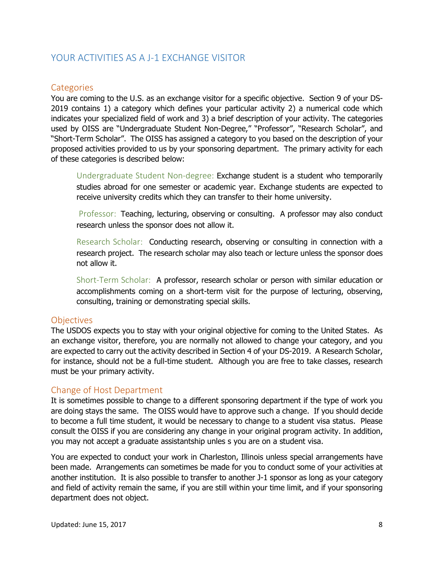### <span id="page-7-0"></span>YOUR ACTIVITIES AS A J-1 EXCHANGE VISITOR

### <span id="page-7-1"></span>**Categories**

You are coming to the U.S. as an exchange visitor for a specific objective. Section 9 of your DS-2019 contains 1) a category which defines your particular activity 2) a numerical code which indicates your specialized field of work and 3) a brief description of your activity. The categories used by OISS are "Undergraduate Student Non-Degree," "Professor", "Research Scholar", and "Short-Term Scholar". The OISS has assigned a category to you based on the description of your proposed activities provided to us by your sponsoring department. The primary activity for each of these categories is described below:

<span id="page-7-2"></span>Undergraduate Student Non-degree: Exchange student is a student who temporarily studies abroad for one semester or academic year. Exchange students are expected to receive university credits which they can transfer to their home university.

<span id="page-7-3"></span>Professor: Teaching, lecturing, observing or consulting. A professor may also conduct research unless the sponsor does not allow it.

<span id="page-7-4"></span>Research Scholar: Conducting research, observing or consulting in connection with a research project. The research scholar may also teach or lecture unless the sponsor does not allow it.

<span id="page-7-5"></span>Short-Term Scholar: A professor, research scholar or person with similar education or accomplishments coming on a short-term visit for the purpose of lecturing, observing, consulting, training or demonstrating special skills.

### <span id="page-7-6"></span>**Objectives**

The USDOS expects you to stay with your original objective for coming to the United States. As an exchange visitor, therefore, you are normally not allowed to change your category, and you are expected to carry out the activity described in Section 4 of your DS-2019. A Research Scholar, for instance, should not be a full-time student. Although you are free to take classes, research must be your primary activity.

### <span id="page-7-7"></span>Change of Host Department

It is sometimes possible to change to a different sponsoring department if the type of work you are doing stays the same. The OISS would have to approve such a change. If you should decide to become a full time student, it would be necessary to change to a student visa status. Please consult the OISS if you are considering any change in your original program activity. In addition, you may not accept a graduate assistantship unles s you are on a student visa.

You are expected to conduct your work in Charleston, Illinois unless special arrangements have been made. Arrangements can sometimes be made for you to conduct some of your activities at another institution. It is also possible to transfer to another J-1 sponsor as long as your category and field of activity remain the same, if you are still within your time limit, and if your sponsoring department does not object.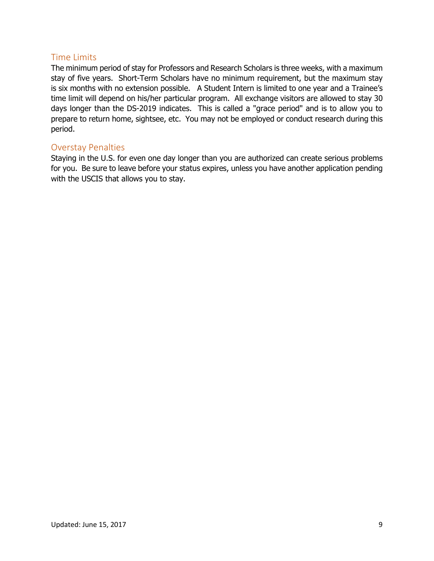### <span id="page-8-0"></span>Time Limits

The minimum period of stay for Professors and Research Scholars is three weeks, with a maximum stay of five years. Short-Term Scholars have no minimum requirement, but the maximum stay is six months with no extension possible. A Student Intern is limited to one year and a Trainee's time limit will depend on his/her particular program. All exchange visitors are allowed to stay 30 days longer than the DS-2019 indicates. This is called a "grace period" and is to allow you to prepare to return home, sightsee, etc. You may not be employed or conduct research during this period.

#### <span id="page-8-1"></span>Overstay Penalties

Staying in the U.S. for even one day longer than you are authorized can create serious problems for you. Be sure to leave before your status expires, unless you have another application pending with the USCIS that allows you to stay.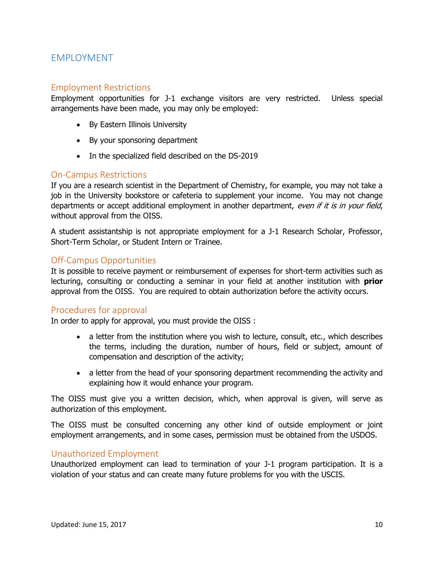### <span id="page-9-0"></span>EMPLOYMENT

### <span id="page-9-1"></span>Employment Restrictions

Employment opportunities for J-1 exchange visitors are very restricted. Unless special arrangements have been made, you may only be employed:

- By Eastern Illinois University
- By your sponsoring department
- In the specialized field described on the DS-2019

#### <span id="page-9-2"></span>On-Campus Restrictions

If you are a research scientist in the Department of Chemistry, for example, you may not take a job in the University bookstore or cafeteria to supplement your income. You may not change departments or accept additional employment in another department, even if it is in your field, without approval from the OISS.

A student assistantship is not appropriate employment for a J-1 Research Scholar, Professor, Short-Term Scholar, or Student Intern or Trainee.

### <span id="page-9-3"></span>Off-Campus Opportunities

It is possible to receive payment or reimbursement of expenses for short-term activities such as lecturing, consulting or conducting a seminar in your field at another institution with **prior** approval from the OISS. You are required to obtain authorization before the activity occurs.

#### <span id="page-9-4"></span>Procedures for approval

In order to apply for approval, you must provide the OISS :

- a letter from the institution where you wish to lecture, consult, etc., which describes the terms, including the duration, number of hours, field or subject, amount of compensation and description of the activity;
- a letter from the head of your sponsoring department recommending the activity and explaining how it would enhance your program.

The OISS must give you a written decision, which, when approval is given, will serve as authorization of this employment.

The OISS must be consulted concerning any other kind of outside employment or joint employment arrangements, and in some cases, permission must be obtained from the USDOS.

### <span id="page-9-5"></span>Unauthorized Employment

Unauthorized employment can lead to termination of your J-1 program participation. It is a violation of your status and can create many future problems for you with the USCIS.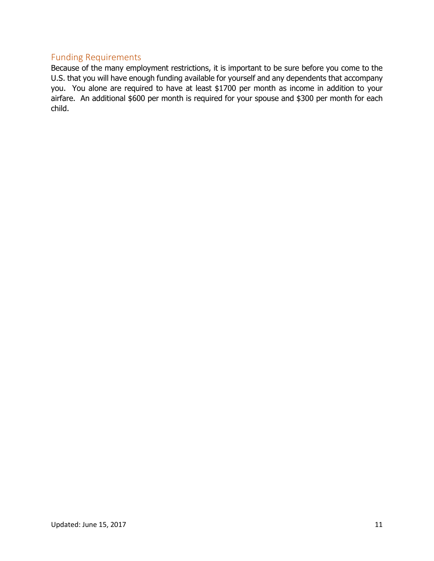### <span id="page-10-0"></span>Funding Requirements

Because of the many employment restrictions, it is important to be sure before you come to the U.S. that you will have enough funding available for yourself and any dependents that accompany you. You alone are required to have at least \$1700 per month as income in addition to your airfare. An additional \$600 per month is required for your spouse and \$300 per month for each child.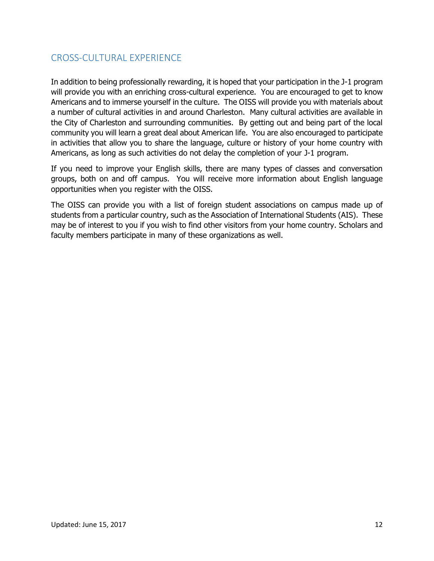# <span id="page-11-0"></span>CROSS-CULTURAL EXPERIENCE

In addition to being professionally rewarding, it is hoped that your participation in the J-1 program will provide you with an enriching cross-cultural experience. You are encouraged to get to know Americans and to immerse yourself in the culture. The OISS will provide you with materials about a number of cultural activities in and around Charleston. Many cultural activities are available in the City of Charleston and surrounding communities. By getting out and being part of the local community you will learn a great deal about American life. You are also encouraged to participate in activities that allow you to share the language, culture or history of your home country with Americans, as long as such activities do not delay the completion of your J-1 program.

If you need to improve your English skills, there are many types of classes and conversation groups, both on and off campus. You will receive more information about English language opportunities when you register with the OISS.

The OISS can provide you with a list of foreign student associations on campus made up of students from a particular country, such as the Association of International Students (AIS). These may be of interest to you if you wish to find other visitors from your home country. Scholars and faculty members participate in many of these organizations as well.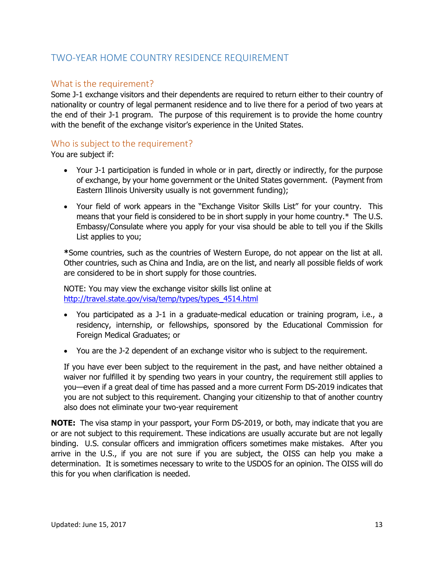# <span id="page-12-0"></span>TWO-YEAR HOME COUNTRY RESIDENCE REQUIREMENT

### <span id="page-12-1"></span>What is the requirement?

Some J-1 exchange visitors and their dependents are required to return either to their country of nationality or country of legal permanent residence and to live there for a period of two years at the end of their J-1 program. The purpose of this requirement is to provide the home country with the benefit of the exchange visitor's experience in the United States.

### <span id="page-12-2"></span>Who is subject to the requirement?

You are subject if:

- Your J-1 participation is funded in whole or in part, directly or indirectly, for the purpose of exchange, by your home government or the United States government. (Payment from Eastern Illinois University usually is not government funding);
- Your field of work appears in the "Exchange Visitor Skills List" for your country. This means that your field is considered to be in short supply in your home country.\* The U.S. Embassy/Consulate where you apply for your visa should be able to tell you if the Skills List applies to you;

**\***Some countries, such as the countries of Western Europe, do not appear on the list at all. Other countries, such as China and India, are on the list, and nearly all possible fields of work are considered to be in short supply for those countries.

NOTE: You may view the exchange visitor skills list online at [http://travel.state.gov/visa/temp/types/types\\_4514.html](http://travel.state.gov/visa/temp/types/types_4514.html)

- You participated as a J-1 in a graduate-medical education or training program, i.e., a residency, internship, or fellowships, sponsored by the Educational Commission for Foreign Medical Graduates; or
- You are the J-2 dependent of an exchange visitor who is subject to the requirement.

If you have ever been subject to the requirement in the past, and have neither obtained a waiver nor fulfilled it by spending two years in your country, the requirement still applies to you—even if a great deal of time has passed and a more current Form DS-2019 indicates that you are not subject to this requirement. Changing your citizenship to that of another country also does not eliminate your two-year requirement

**NOTE:** The visa stamp in your passport, your Form DS-2019, or both, may indicate that you are or are not subject to this requirement. These indications are usually accurate but are not legally binding. U.S. consular officers and immigration officers sometimes make mistakes. After you arrive in the U.S., if you are not sure if you are subject, the OISS can help you make a determination. It is sometimes necessary to write to the USDOS for an opinion. The OISS will do this for you when clarification is needed.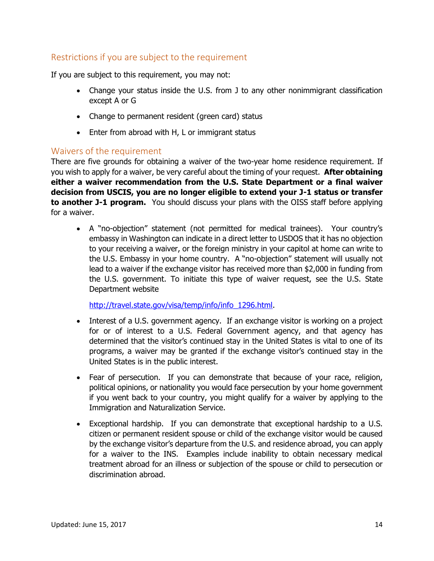### Restrictions if you are subject to the requirement

If you are subject to this requirement, you may not:

- Change your status inside the U.S. from J to any other nonimmigrant classification except A or G
- Change to permanent resident (green card) status
- Enter from abroad with H, L or immigrant status

### <span id="page-13-0"></span>Waivers of the requirement

There are five grounds for obtaining a waiver of the two-year home residence requirement. If you wish to apply for a waiver, be very careful about the timing of your request. **After obtaining either a waiver recommendation from the U.S. State Department or a final waiver decision from USCIS, you are no longer eligible to extend your J-1 status or transfer to another J-1 program.** You should discuss your plans with the OISS staff before applying for a waiver.

 A "no-objection" statement (not permitted for medical trainees). Your country's embassy in Washington can indicate in a direct letter to USDOS that it has no objection to your receiving a waiver, or the foreign ministry in your capitol at home can write to the U.S. Embassy in your home country. A "no-objection" statement will usually not lead to a waiver if the exchange visitor has received more than \$2,000 in funding from the U.S. government. To initiate this type of waiver request, see the U.S. State Department website

[http://travel.state.gov/visa/temp/info/info\\_1296.html.](http://travel.state.gov/visa/temp/info/info_1296.html)

- Interest of a U.S. government agency. If an exchange visitor is working on a project for or of interest to a U.S. Federal Government agency, and that agency has determined that the visitor's continued stay in the United States is vital to one of its programs, a waiver may be granted if the exchange visitor's continued stay in the United States is in the public interest.
- Fear of persecution. If you can demonstrate that because of your race, religion, political opinions, or nationality you would face persecution by your home government if you went back to your country, you might qualify for a waiver by applying to the Immigration and Naturalization Service.
- Exceptional hardship. If you can demonstrate that exceptional hardship to a U.S. citizen or permanent resident spouse or child of the exchange visitor would be caused by the exchange visitor's departure from the U.S. and residence abroad, you can apply for a waiver to the INS. Examples include inability to obtain necessary medical treatment abroad for an illness or subjection of the spouse or child to persecution or discrimination abroad.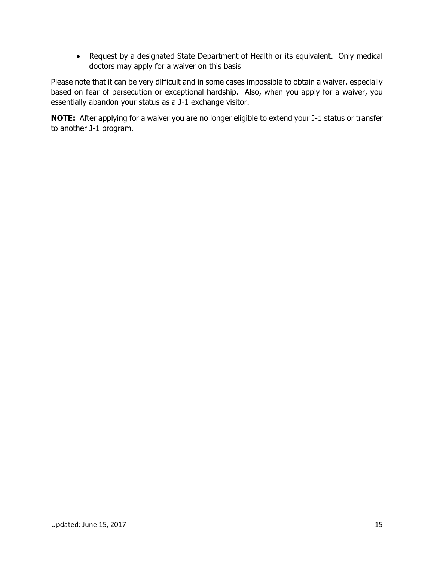Request by a designated State Department of Health or its equivalent. Only medical doctors may apply for a waiver on this basis

Please note that it can be very difficult and in some cases impossible to obtain a waiver, especially based on fear of persecution or exceptional hardship. Also, when you apply for a waiver, you essentially abandon your status as a J-1 exchange visitor.

**NOTE:** After applying for a waiver you are no longer eligible to extend your J-1 status or transfer to another J-1 program.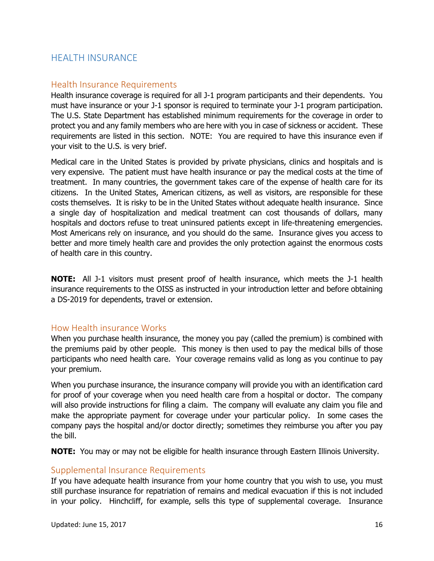### <span id="page-15-0"></span>HEALTH INSURANCE

#### <span id="page-15-1"></span>Health Insurance Requirements

Health insurance coverage is required for all J-1 program participants and their dependents. You must have insurance or your J-1 sponsor is required to terminate your J-1 program participation. The U.S. State Department has established minimum requirements for the coverage in order to protect you and any family members who are here with you in case of sickness or accident. These requirements are listed in this section. NOTE: You are required to have this insurance even if your visit to the U.S. is very brief.

Medical care in the United States is provided by private physicians, clinics and hospitals and is very expensive. The patient must have health insurance or pay the medical costs at the time of treatment. In many countries, the government takes care of the expense of health care for its citizens. In the United States, American citizens, as well as visitors, are responsible for these costs themselves. It is risky to be in the United States without adequate health insurance. Since a single day of hospitalization and medical treatment can cost thousands of dollars, many hospitals and doctors refuse to treat uninsured patients except in life-threatening emergencies. Most Americans rely on insurance, and you should do the same. Insurance gives you access to better and more timely health care and provides the only protection against the enormous costs of health care in this country.

**NOTE:** All J-1 visitors must present proof of health insurance, which meets the J-1 health insurance requirements to the OISS as instructed in your introduction letter and before obtaining a DS-2019 for dependents, travel or extension.

#### <span id="page-15-2"></span>How Health insurance Works

When you purchase health insurance, the money you pay (called the premium) is combined with the premiums paid by other people. This money is then used to pay the medical bills of those participants who need health care. Your coverage remains valid as long as you continue to pay your premium.

When you purchase insurance, the insurance company will provide you with an identification card for proof of your coverage when you need health care from a hospital or doctor. The company will also provide instructions for filing a claim. The company will evaluate any claim you file and make the appropriate payment for coverage under your particular policy. In some cases the company pays the hospital and/or doctor directly; sometimes they reimburse you after you pay the bill.

**NOTE:** You may or may not be eligible for health insurance through Eastern Illinois University.

#### <span id="page-15-3"></span>Supplemental Insurance Requirements

If you have adequate health insurance from your home country that you wish to use, you must still purchase insurance for repatriation of remains and medical evacuation if this is not included in your policy. Hinchcliff, for example, sells this type of supplemental coverage. Insurance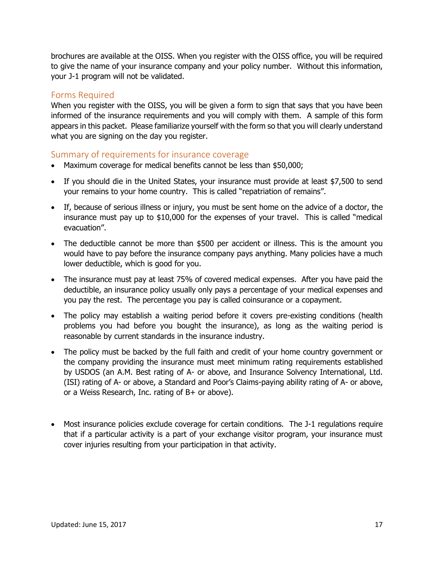brochures are available at the OISS. When you register with the OISS office, you will be required to give the name of your insurance company and your policy number. Without this information, your J-1 program will not be validated.

### <span id="page-16-0"></span>Forms Required

When you register with the OISS, you will be given a form to sign that says that you have been informed of the insurance requirements and you will comply with them. A sample of this form appears in this packet. Please familiarize yourself with the form so that you will clearly understand what you are signing on the day you register.

### <span id="page-16-1"></span>Summary of requirements for insurance coverage

- Maximum coverage for medical benefits cannot be less than \$50,000;
- If you should die in the United States, your insurance must provide at least \$7,500 to send your remains to your home country. This is called "repatriation of remains".
- If, because of serious illness or injury, you must be sent home on the advice of a doctor, the insurance must pay up to \$10,000 for the expenses of your travel. This is called "medical evacuation".
- The deductible cannot be more than \$500 per accident or illness. This is the amount you would have to pay before the insurance company pays anything. Many policies have a much lower deductible, which is good for you.
- The insurance must pay at least 75% of covered medical expenses. After you have paid the deductible, an insurance policy usually only pays a percentage of your medical expenses and you pay the rest. The percentage you pay is called coinsurance or a copayment.
- The policy may establish a waiting period before it covers pre-existing conditions (health problems you had before you bought the insurance), as long as the waiting period is reasonable by current standards in the insurance industry.
- The policy must be backed by the full faith and credit of your home country government or the company providing the insurance must meet minimum rating requirements established by USDOS (an A.M. Best rating of A- or above, and Insurance Solvency International, Ltd. (ISI) rating of A- or above, a Standard and Poor's Claims-paying ability rating of A- or above, or a Weiss Research, Inc. rating of B+ or above).
- Most insurance policies exclude coverage for certain conditions. The J-1 regulations require that if a particular activity is a part of your exchange visitor program, your insurance must cover injuries resulting from your participation in that activity.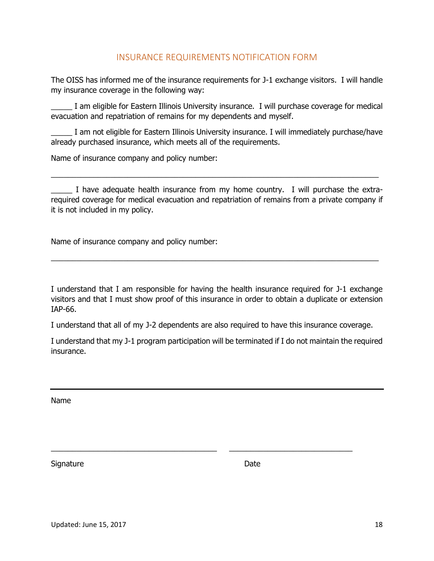### INSURANCE REQUIREMENTS NOTIFICATION FORM

<span id="page-17-0"></span>The OISS has informed me of the insurance requirements for J-1 exchange visitors. I will handle my insurance coverage in the following way:

\_\_\_\_\_ I am eligible for Eastern Illinois University insurance. I will purchase coverage for medical evacuation and repatriation of remains for my dependents and myself.

I am not eligible for Eastern Illinois University insurance. I will immediately purchase/have already purchased insurance, which meets all of the requirements.

Name of insurance company and policy number:

I have adequate health insurance from my home country. I will purchase the extrarequired coverage for medical evacuation and repatriation of remains from a private company if it is not included in my policy.

\_\_\_\_\_\_\_\_\_\_\_\_\_\_\_\_\_\_\_\_\_\_\_\_\_\_\_\_\_\_\_\_\_\_\_\_\_\_\_\_\_\_\_\_\_\_\_\_\_\_\_\_\_\_\_\_\_\_\_\_\_\_\_\_\_\_\_\_\_\_\_\_\_\_\_\_\_

Name of insurance company and policy number:

I understand that I am responsible for having the health insurance required for J-1 exchange visitors and that I must show proof of this insurance in order to obtain a duplicate or extension IAP-66.

\_\_\_\_\_\_\_\_\_\_\_\_\_\_\_\_\_\_\_\_\_\_\_\_\_\_\_\_\_\_\_\_\_\_\_\_\_\_\_\_\_\_\_\_\_\_\_\_\_\_\_\_\_\_\_\_\_\_\_\_\_\_\_\_\_\_\_\_\_\_\_\_\_\_\_\_\_

I understand that all of my J-2 dependents are also required to have this insurance coverage.

 $\_$  , and the set of the set of the set of the set of the set of the set of the set of the set of the set of the set of the set of the set of the set of the set of the set of the set of the set of the set of the set of th

I understand that my J-1 program participation will be terminated if I do not maintain the required insurance.

Name

Signature Date Date Date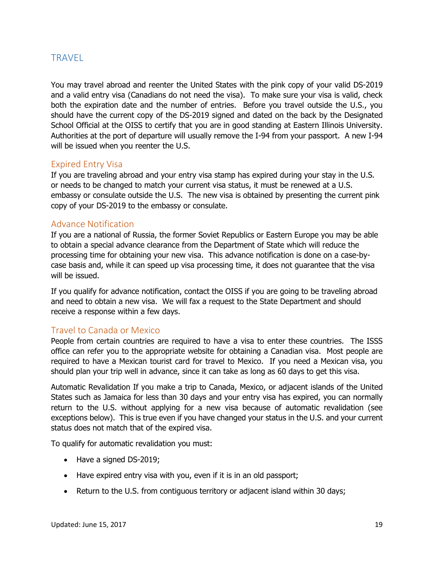### <span id="page-18-0"></span>**TRAVEL**

You may travel abroad and reenter the United States with the pink copy of your valid DS-2019 and a valid entry visa (Canadians do not need the visa). To make sure your visa is valid, check both the expiration date and the number of entries. Before you travel outside the U.S., you should have the current copy of the DS-2019 signed and dated on the back by the Designated School Official at the OISS to certify that you are in good standing at Eastern Illinois University. Authorities at the port of departure will usually remove the I-94 from your passport. A new I-94 will be issued when you reenter the U.S.

### <span id="page-18-1"></span>Expired Entry Visa

If you are traveling abroad and your entry visa stamp has expired during your stay in the U.S. or needs to be changed to match your current visa status, it must be renewed at a U.S. embassy or consulate outside the U.S. The new visa is obtained by presenting the current pink copy of your DS-2019 to the embassy or consulate.

#### <span id="page-18-2"></span>Advance Notification

If you are a national of Russia, the former Soviet Republics or Eastern Europe you may be able to obtain a special advance clearance from the Department of State which will reduce the processing time for obtaining your new visa. This advance notification is done on a case-bycase basis and, while it can speed up visa processing time, it does not guarantee that the visa will be issued.

If you qualify for advance notification, contact the OISS if you are going to be traveling abroad and need to obtain a new visa. We will fax a request to the State Department and should receive a response within a few days.

### <span id="page-18-3"></span>Travel to Canada or Mexico

People from certain countries are required to have a visa to enter these countries. The ISSS office can refer you to the appropriate website for obtaining a Canadian visa. Most people are required to have a Mexican tourist card for travel to Mexico. If you need a Mexican visa, you should plan your trip well in advance, since it can take as long as 60 days to get this visa.

Automatic Revalidation If you make a trip to Canada, Mexico, or adjacent islands of the United States such as Jamaica for less than 30 days and your entry visa has expired, you can normally return to the U.S. without applying for a new visa because of automatic revalidation (see exceptions below). This is true even if you have changed your status in the U.S. and your current status does not match that of the expired visa.

To qualify for automatic revalidation you must:

- Have a signed DS-2019;
- Have expired entry visa with you, even if it is in an old passport;
- Return to the U.S. from contiguous territory or adjacent island within 30 days;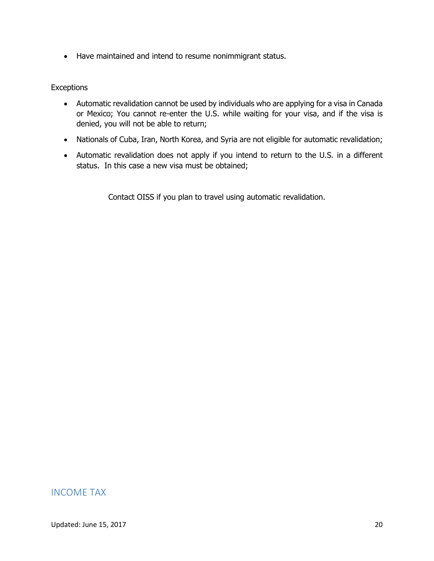Have maintained and intend to resume nonimmigrant status.

#### **Exceptions**

- Automatic revalidation cannot be used by individuals who are applying for a visa in Canada or Mexico; You cannot re-enter the U.S. while waiting for your visa, and if the visa is denied, you will not be able to return;
- Nationals of Cuba, Iran, North Korea, and Syria are not eligible for automatic revalidation;
- Automatic revalidation does not apply if you intend to return to the U.S. in a different status. In this case a new visa must be obtained;

Contact OISS if you plan to travel using automatic revalidation.

### <span id="page-19-0"></span>INCOME TAX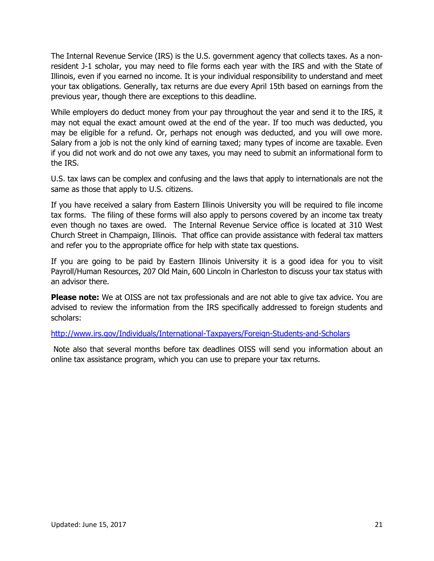The Internal Revenue Service (IRS) is the U.S. government agency that collects taxes. As a nonresident J-1 scholar, you may need to file forms each year with the IRS and with the State of Illinois, even if you earned no income. It is your individual responsibility to understand and meet your tax obligations. Generally, tax returns are due every April 15th based on earnings from the previous year, though there are exceptions to this deadline.

While employers do deduct money from your pay throughout the year and send it to the IRS, it may not equal the exact amount owed at the end of the year. If too much was deducted, you may be eligible for a refund. Or, perhaps not enough was deducted, and you will owe more. Salary from a job is not the only kind of earning taxed; many types of income are taxable. Even if you did not work and do not owe any taxes, you may need to submit an informational form to the IRS.

U.S. tax laws can be complex and confusing and the laws that apply to internationals are not the same as those that apply to U.S. citizens.

If you have received a salary from Eastern Illinois University you will be required to file income tax forms. The filing of these forms will also apply to persons covered by an income tax treaty even though no taxes are owed. The Internal Revenue Service office is located at 310 West Church Street in Champaign, Illinois. That office can provide assistance with federal tax matters and refer you to the appropriate office for help with state tax questions.

If you are going to be paid by Eastern Illinois University it is a good idea for you to visit Payroll/Human Resources, 207 Old Main, 600 Lincoln in Charleston to discuss your tax status with an advisor there.

**Please note:** We at OISS are not tax professionals and are not able to give tax advice. You are advised to review the information from the IRS specifically addressed to foreign students and scholars:

<http://www.irs.gov/Individuals/International-Taxpayers/Foreign-Students-and-Scholars>

Note also that several months before tax deadlines OISS will send you information about an online tax assistance program, which you can use to prepare your tax returns.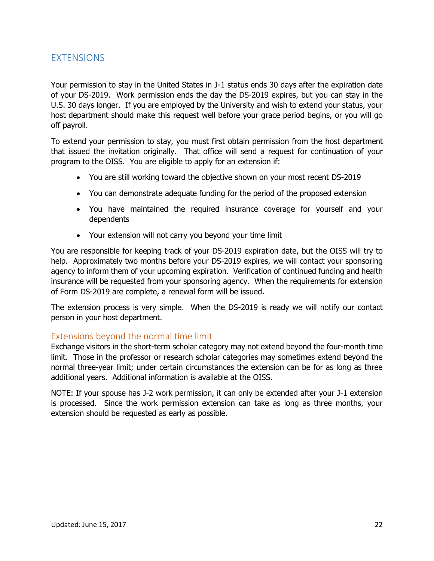### <span id="page-21-0"></span>EXTENSIONS

Your permission to stay in the United States in J-1 status ends 30 days after the expiration date of your DS-2019. Work permission ends the day the DS-2019 expires, but you can stay in the U.S. 30 days longer. If you are employed by the University and wish to extend your status, your host department should make this request well before your grace period begins, or you will go off payroll.

To extend your permission to stay, you must first obtain permission from the host department that issued the invitation originally. That office will send a request for continuation of your program to the OISS. You are eligible to apply for an extension if:

- You are still working toward the objective shown on your most recent DS-2019
- You can demonstrate adequate funding for the period of the proposed extension
- You have maintained the required insurance coverage for yourself and your dependents
- Your extension will not carry you beyond your time limit

You are responsible for keeping track of your DS-2019 expiration date, but the OISS will try to help. Approximately two months before your DS-2019 expires, we will contact your sponsoring agency to inform them of your upcoming expiration. Verification of continued funding and health insurance will be requested from your sponsoring agency. When the requirements for extension of Form DS-2019 are complete, a renewal form will be issued.

The extension process is very simple. When the DS-2019 is ready we will notify our contact person in your host department.

### <span id="page-21-1"></span>Extensions beyond the normal time limit

Exchange visitors in the short-term scholar category may not extend beyond the four-month time limit. Those in the professor or research scholar categories may sometimes extend beyond the normal three-year limit; under certain circumstances the extension can be for as long as three additional years. Additional information is available at the OISS.

NOTE: If your spouse has J-2 work permission, it can only be extended after your J-1 extension is processed. Since the work permission extension can take as long as three months, your extension should be requested as early as possible.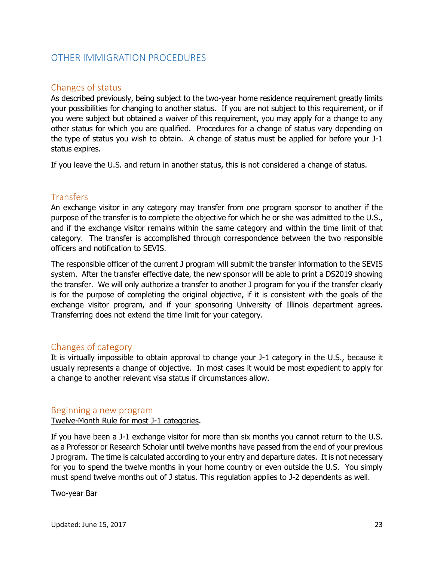### <span id="page-22-0"></span>OTHER IMMIGRATION PROCEDURES

### <span id="page-22-1"></span>Changes of status

As described previously, being subject to the two-year home residence requirement greatly limits your possibilities for changing to another status. If you are not subject to this requirement, or if you were subject but obtained a waiver of this requirement, you may apply for a change to any other status for which you are qualified. Procedures for a change of status vary depending on the type of status you wish to obtain. A change of status must be applied for before your J-1 status expires.

If you leave the U.S. and return in another status, this is not considered a change of status.

### <span id="page-22-2"></span>**Transfers**

An exchange visitor in any category may transfer from one program sponsor to another if the purpose of the transfer is to complete the objective for which he or she was admitted to the U.S., and if the exchange visitor remains within the same category and within the time limit of that category. The transfer is accomplished through correspondence between the two responsible officers and notification to SEVIS.

The responsible officer of the current J program will submit the transfer information to the SEVIS system. After the transfer effective date, the new sponsor will be able to print a DS2019 showing the transfer. We will only authorize a transfer to another J program for you if the transfer clearly is for the purpose of completing the original objective, if it is consistent with the goals of the exchange visitor program, and if your sponsoring University of Illinois department agrees. Transferring does not extend the time limit for your category.

### <span id="page-22-3"></span>Changes of category

It is virtually impossible to obtain approval to change your J-1 category in the U.S., because it usually represents a change of objective. In most cases it would be most expedient to apply for a change to another relevant visa status if circumstances allow.

#### <span id="page-22-4"></span>Beginning a new program

Twelve-Month Rule for most J-1 categories.

If you have been a J-1 exchange visitor for more than six months you cannot return to the U.S. as a Professor or Research Scholar until twelve months have passed from the end of your previous J program. The time is calculated according to your entry and departure dates. It is not necessary for you to spend the twelve months in your home country or even outside the U.S. You simply must spend twelve months out of J status. This regulation applies to J-2 dependents as well.

#### Two-year Bar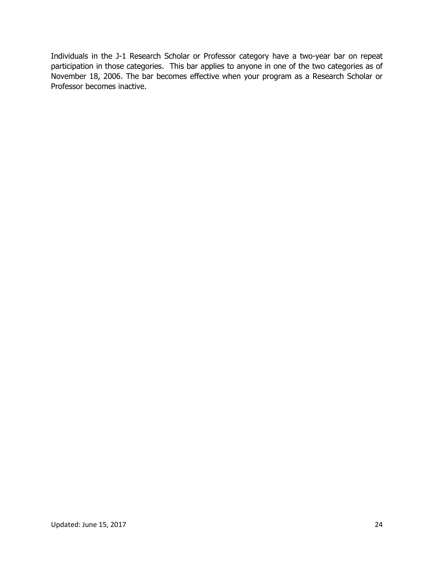Individuals in the J-1 Research Scholar or Professor category have a two-year bar on repeat participation in those categories. This bar applies to anyone in one of the two categories as of November 18, 2006. The bar becomes effective when your program as a Research Scholar or Professor becomes inactive.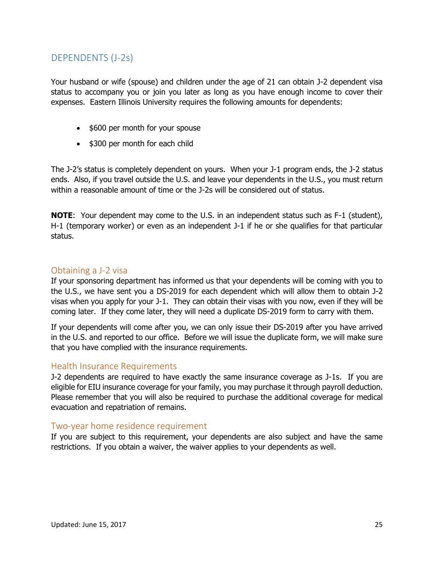# <span id="page-24-0"></span>DEPENDENTS (J-2s)

Your husband or wife (spouse) and children under the age of 21 can obtain J-2 dependent visa status to accompany you or join you later as long as you have enough income to cover their expenses. Eastern Illinois University requires the following amounts for dependents:

- \$600 per month for your spouse
- \$300 per month for each child

The J-2's status is completely dependent on yours. When your J-1 program ends, the J-2 status ends. Also, if you travel outside the U.S. and leave your dependents in the U.S., you must return within a reasonable amount of time or the J-2s will be considered out of status.

**NOTE**: Your dependent may come to the U.S. in an independent status such as F-1 (student), H-1 (temporary worker) or even as an independent J-1 if he or she qualifies for that particular status.

### <span id="page-24-1"></span>Obtaining a J-2 visa

If your sponsoring department has informed us that your dependents will be coming with you to the U.S., we have sent you a DS-2019 for each dependent which will allow them to obtain J-2 visas when you apply for your J-1. They can obtain their visas with you now, even if they will be coming later. If they come later, they will need a duplicate DS-2019 form to carry with them.

If your dependents will come after you, we can only issue their DS-2019 after you have arrived in the U.S. and reported to our office. Before we will issue the duplicate form, we will make sure that you have complied with the insurance requirements.

#### <span id="page-24-2"></span>Health Insurance Requirements

J-2 dependents are required to have exactly the same insurance coverage as J-1s. If you are eligible for EIU insurance coverage for your family, you may purchase it through payroll deduction. Please remember that you will also be required to purchase the additional coverage for medical evacuation and repatriation of remains.

### <span id="page-24-3"></span>Two-year home residence requirement

If you are subject to this requirement, your dependents are also subject and have the same restrictions. If you obtain a waiver, the waiver applies to your dependents as well.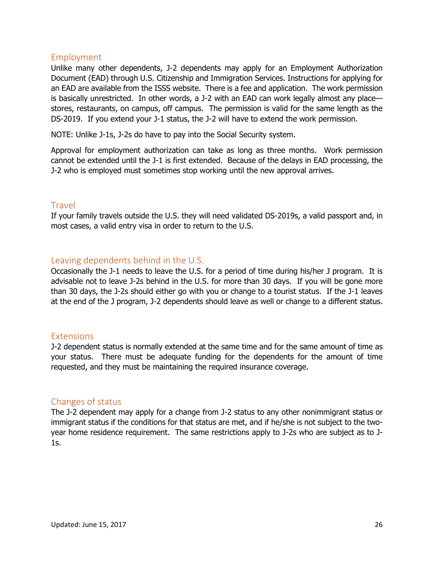### <span id="page-25-0"></span>Employment

Unlike many other dependents, J-2 dependents may apply for an Employment Authorization Document (EAD) through U.S. Citizenship and Immigration Services. Instructions for applying for an EAD are available from the ISSS website. There is a fee and application. The work permission is basically unrestricted. In other words, a J-2 with an EAD can work legally almost any place stores, restaurants, on campus, off campus. The permission is valid for the same length as the DS-2019. If you extend your J-1 status, the J-2 will have to extend the work permission.

NOTE: Unlike J-1s, J-2s do have to pay into the Social Security system.

Approval for employment authorization can take as long as three months. Work permission cannot be extended until the J-1 is first extended. Because of the delays in EAD processing, the J-2 who is employed must sometimes stop working until the new approval arrives.

### <span id="page-25-1"></span>Travel

If your family travels outside the U.S. they will need validated DS-2019s, a valid passport and, in most cases, a valid entry visa in order to return to the U.S.

### <span id="page-25-2"></span>Leaving dependents behind in the U.S.

Occasionally the J-1 needs to leave the U.S. for a period of time during his/her J program. It is advisable not to leave J-2s behind in the U.S. for more than 30 days. If you will be gone more than 30 days, the J-2s should either go with you or change to a tourist status. If the J-1 leaves at the end of the J program, J-2 dependents should leave as well or change to a different status.

### <span id="page-25-3"></span>Extensions

J-2 dependent status is normally extended at the same time and for the same amount of time as your status. There must be adequate funding for the dependents for the amount of time requested, and they must be maintaining the required insurance coverage.

#### <span id="page-25-4"></span>Changes of status

The J-2 dependent may apply for a change from J-2 status to any other nonimmigrant status or immigrant status if the conditions for that status are met, and if he/she is not subject to the twoyear home residence requirement. The same restrictions apply to J-2s who are subject as to J-1s.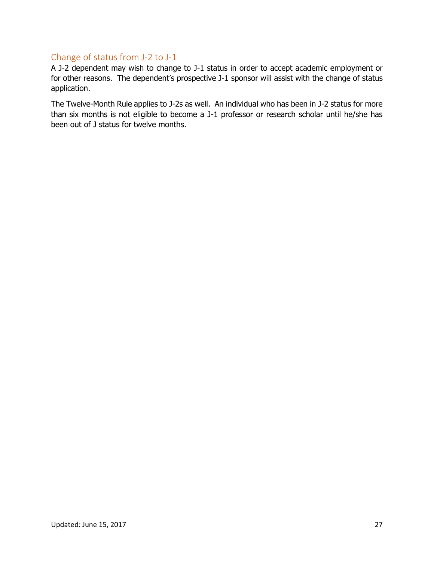### <span id="page-26-0"></span>Change of status from J-2 to J-1

A J-2 dependent may wish to change to J-1 status in order to accept academic employment or for other reasons. The dependent's prospective J-1 sponsor will assist with the change of status application.

The Twelve-Month Rule applies to J-2s as well. An individual who has been in J-2 status for more than six months is not eligible to become a J-1 professor or research scholar until he/she has been out of J status for twelve months.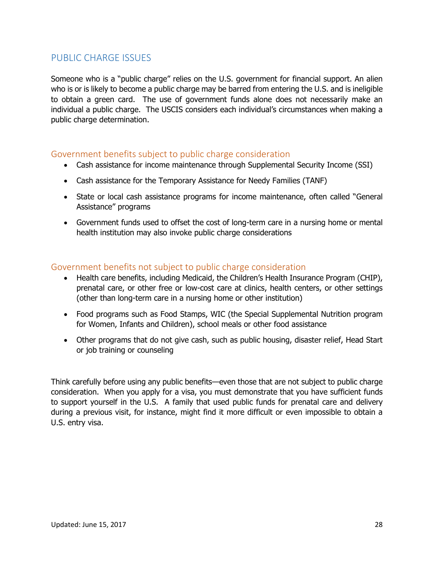### <span id="page-27-0"></span>PUBLIC CHARGE ISSUES

Someone who is a "public charge" relies on the U.S. government for financial support. An alien who is or is likely to become a public charge may be barred from entering the U.S. and is ineligible to obtain a green card. The use of government funds alone does not necessarily make an individual a public charge. The USCIS considers each individual's circumstances when making a public charge determination.

### <span id="page-27-1"></span>Government benefits subject to public charge consideration

- Cash assistance for income maintenance through Supplemental Security Income (SSI)
- Cash assistance for the Temporary Assistance for Needy Families (TANF)
- State or local cash assistance programs for income maintenance, often called "General Assistance" programs
- Government funds used to offset the cost of long-term care in a nursing home or mental health institution may also invoke public charge considerations

### <span id="page-27-2"></span>Government benefits not subject to public charge consideration

- Health care benefits, including Medicaid, the Children's Health Insurance Program (CHIP), prenatal care, or other free or low-cost care at clinics, health centers, or other settings (other than long-term care in a nursing home or other institution)
- Food programs such as Food Stamps, WIC (the Special Supplemental Nutrition program for Women, Infants and Children), school meals or other food assistance
- Other programs that do not give cash, such as public housing, disaster relief, Head Start or job training or counseling

Think carefully before using any public benefits—even those that are not subject to public charge consideration. When you apply for a visa, you must demonstrate that you have sufficient funds to support yourself in the U.S. A family that used public funds for prenatal care and delivery during a previous visit, for instance, might find it more difficult or even impossible to obtain a U.S. entry visa.